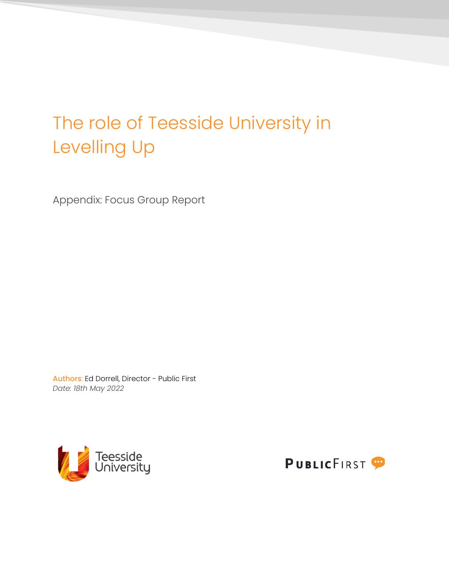# The role of Teesside University in Levelling Up

Appendix: Focus Group Report

Authors: Ed Dorrell, Director - Public First *Date: 18th May 2022*



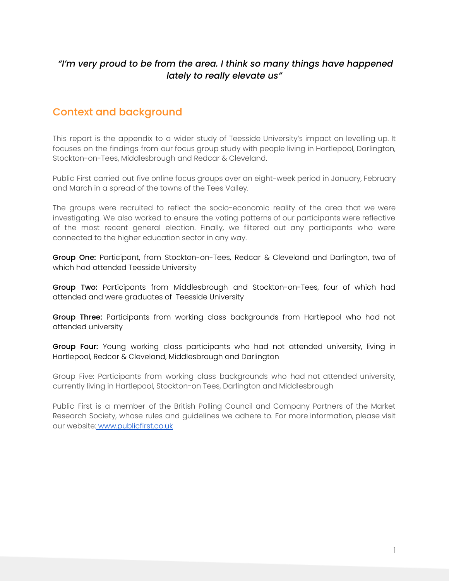#### *"I'm very proud to be from the area. I think so many things have happened lately to really elevate us"*

### Context and background

This report is the appendix to a wider study of Teesside University's impact on levelling up. It focuses on the findings from our focus group study with people living in Hartlepool, Darlington, Stockton-on-Tees, Middlesbrough and Redcar & Cleveland.

Public First carried out five online focus groups over an eight-week period in January, February and March in a spread of the towns of the Tees Valley.

The groups were recruited to reflect the socio-economic reality of the area that we were investigating. We also worked to ensure the voting patterns of our participants were reflective of the most recent general election. Finally, we filtered out any participants who were connected to the higher education sector in any way.

Group One: Participant, from Stockton-on-Tees, Redcar & Cleveland and Darlington, two of which had attended Teesside University

Group Two: Participants from Middlesbrough and Stockton-on-Tees, four of which had attended and were graduates of Teesside University

Group Three: Participants from working class backgrounds from Hartlepool who had not attended university

Group Four: Young working class participants who had not attended university, living in Hartlepool, Redcar & Cleveland, Middlesbrough and Darlington

Group Five: Participants from working class backgrounds who had not attended university, currently living in Hartlepool, Stockton-on Tees, Darlington and Middlesbrough

Public First is a member of the British Polling Council and Company Partners of the Market Research Society, whose rules and guidelines we adhere to. For more information, please visit our website: [www.publicfirst.co.uk](http://www.publicfirst.co.uk/)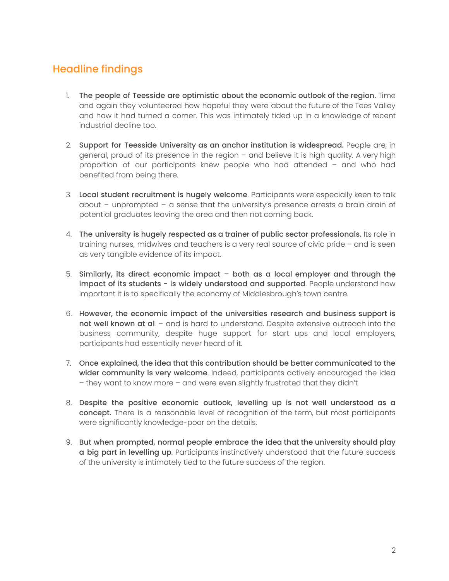## Headline findings

- 1. The people of Teesside are optimistic about the economic outlook of the region. Time and again they volunteered how hopeful they were about the future of the Tees Valley and how it had turned a corner. This was intimately tided up in a knowledge of recent industrial decline too.
- 2. Support for Teesside University as an anchor institution is widespread. People are, in general, proud of its presence in the region – and believe it is high quality. A very high proportion of our participants knew people who had attended – and who had benefited from being there.
- 3. Local student recruitment is hugely welcome. Participants were especially keen to talk about – unprompted – a sense that the university's presence arrests a brain drain of potential graduates leaving the area and then not coming back.
- 4. The university is hugely respected as a trainer of public sector professionals. Its role in training nurses, midwives and teachers is a very real source of civic pride – and is seen as very tangible evidence of its impact.
- 5. Similarly, its direct economic impact both as a local employer and through the impact of its students - is widely understood and supported. People understand how important it is to specifically the economy of Middlesbrough's town centre.
- 6. However, the economic impact of the universities research and business support is not well known at all - and is hard to understand. Despite extensive outreach into the business community, despite huge support for start ups and local employers, participants had essentially never heard of it.
- 7. Once explained, the idea that this contribution should be better communicated to the wider community is very welcome. Indeed, participants actively encouraged the idea – they want to know more – and were even slightly frustrated that they didn't
- 8. Despite the positive economic outlook, levelling up is not well understood as a concept. There is a reasonable level of recognition of the term, but most participants were significantly knowledge-poor on the details.
- 9. But when prompted, normal people embrace the idea that the university should play a big part in levelling up. Participants instinctively understood that the future success of the university is intimately tied to the future success of the region.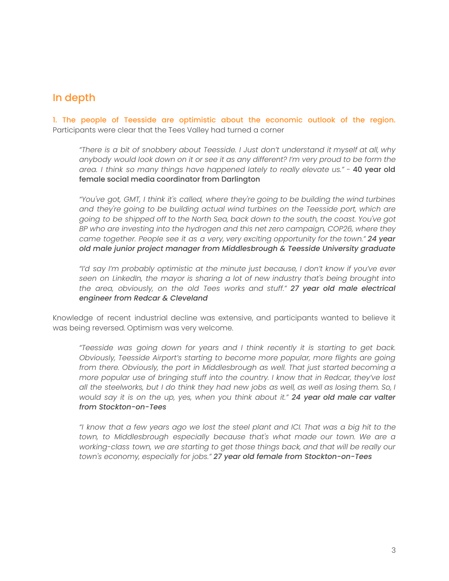### In depth

1. The people of Teesside are optimistic about the economic outlook of the region. Participants were clear that the Tees Valley had turned a corner

*"There is a bit of snobbery about Teesside. I Just don't understand it myself at all, why anybody would look down on it or see it as any different? I'm very proud to be form the area. I think so many things have happened lately to really elevate us."* - 40 year old female social media coordinator from Darlington

*"You've got, GMT, I think it's called, where they're going to be building the wind turbines and they're going to be building actual wind turbines on the Teesside port, which are going to be shipped off to the North Sea, back down to the south, the coast. You've got BP who are investing into the hydrogen and this net zero campaign, COP26, where they came together. People see it as a very, very exciting opportunity for the town." 24 year old male junior project manager from Middlesbrough & Teesside University graduate*

*"I'd say I'm probably optimistic at the minute just because, I don't know if you've ever seen on LinkedIn, the mayor is sharing a lot of new industry that's being brought into the area, obviously, on the old Tees works and stuff." 27 year old male electrical engineer from Redcar & Cleveland*

Knowledge of recent industrial decline was extensive, and participants wanted to believe it was being reversed. Optimism was very welcome.

*"Teesside was going down for years and I think recently it is starting to get back. Obviously, Teesside Airport's starting to become more popular, more flights are going from there. Obviously, the port in Middlesbrough as well. That just started becoming a more popular use of bringing stuff into the country. I know that in Redcar, they've lost* all the steelworks, but I do think they had new jobs as well, as well as losing them. So, I *would say it is on the up, yes, when you think about it." 24 year old male car valter from Stockton-on-Tees*

"I know that a few years ago we lost the steel plant and ICI. That was a big hit to the *town, to Middlesbrough especially because that's what made our town. We are a working-class town, we are starting to get those things back, and that will be really our town's economy, especially for jobs." 27 year old female from Stockton-on-Tees*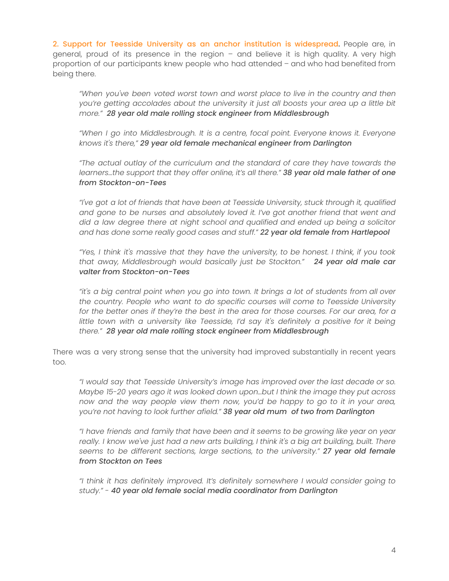2. Support for Teesside University as an anchor institution is widespread. People are, in general, proud of its presence in the region – and believe it is high quality. A very high proportion of our participants knew people who had attended – and who had benefited from being there.

*"When you've been voted worst town and worst place to live in the country and then you're getting accolades about the university it just all boosts your area up a little bit more." 28 year old male rolling stock engineer from Middlesbrough*

*"When I go into Middlesbrough. It is a centre, focal point. Everyone knows it. Everyone knows it's there," 29 year old female mechanical engineer from Darlington*

*"The actual outlay of the curriculum and the standard of care they have towards the learners…the support that they offer online, it's all there." 38 year old male father of one from Stockton-on-Tees*

*"I've got a lot of friends that have been at Teesside University, stuck through it, qualified and gone to be nurses and absolutely loved it. I've got another friend that went and did a law degree there at night school and qualified and ended up being a solicitor and has done some really good cases and stuff." 22 year old female from Hartlepool*

*"Yes, I think it's massive that they have the university, to be honest. I think, if you took that away, Middlesbrough would basically just be Stockton." 24 year old male car valter from Stockton-on-Tees*

*"it's a big central point when you go into town. It brings a lot of students from all over the country. People who want to do specific courses will come to Teesside University for the better ones if they're the best in the area for those courses. For our area, for a little town with a university like Teesside, I'd say it's definitely a positive for it being there." 28 year old male rolling stock engineer from Middlesbrough*

There was a very strong sense that the university had improved substantially in recent years too.

*"I would say that Teesside University's image has improved over the last decade or so. Maybe 15-20 years ago it was looked down upon…but I think the image they put across now and the way people view them now, you'd be happy to go to it in your area, you're not having to look further afield." 38 year old mum of two from Darlington*

*"I have friends and family that have been and it seems to be growing like year on year* really. I know we've just had a new arts building, I think it's a big art building, built. There *seems to be different sections, large sections, to the university." 27 year old female from Stockton on Tees*

*"I think it has definitely improved. It's definitely somewhere I would consider going to study." - 40 year old female social media coordinator from Darlington*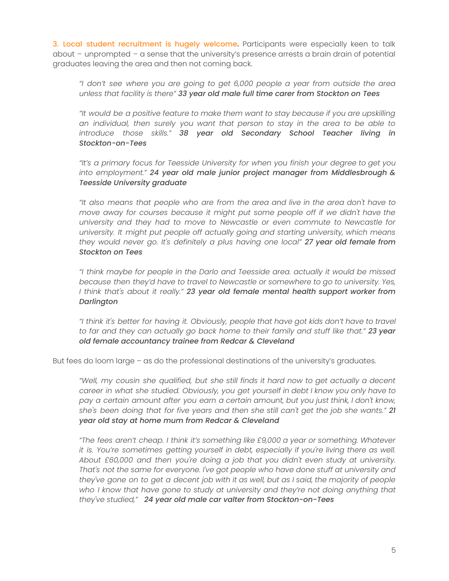3. Local student recruitment is hugely welcome. Participants were especially keen to talk about – unprompted – a sense that the university's presence arrests a brain drain of potential graduates leaving the area and then not coming back.

*"I don't see where you are going to get 6,000 people a year from outside the area unless that facility is there" 33 year old male full time carer from Stockton on Tees*

*"It would be a positive feature to make them want to stay because if you are upskilling an individual, then surely you want that person to stay in the area to be able to introduce those skills." 38 year old Secondary School Teacher living in Stockton-on-Tees*

*"It's a primary focus for Teesside University for when you finish your degree to get you into employment." 24 year old male junior project manager from Middlesbrough & Teesside University graduate*

*"It also means that people who are from the area and live in the area don't have to move away for courses because it might put some people off if we didn't have the university and they had to move to Newcastle or even commute to Newcastle for university. It might put people off actually going and starting university, which means they would never go. It's definitely a plus having one local" 27 year old female from Stockton on Tees*

*"I think maybe for people in the Darlo and Teesside area. actually it would be missed because then they'd have to travel to Newcastle or somewhere to go to university. Yes, I think that's about it really." 23 year old female mental health support worker from Darlington*

*"I think it's better for having it. Obviously, people that have got kids don't have to travel to far and they can actually go back home to their family and stuff like that." 23 year old female accountancy trainee from Redcar & Cleveland*

But fees do loom large – as do the professional destinations of the university's graduates.

*"Well, my cousin she qualified, but she still finds it hard now to get actually a decent career in what she studied. Obviously, you get yourself in debt I know you only have to pay a certain amount after you earn a certain amount, but you just think, I don't know, she's been doing that for five years and then she still can't get the job she wants." 21 year old stay at home mum from Redcar & Cleveland*

*"The fees aren't cheap. I think it's something like £9,000 a year or something. Whatever it is. You're sometimes getting yourself in debt, especially if you're living there as well. About £60,000 and then you're doing a job that you didn't even study at university. That's not the same for everyone. I've got people who have done stuff at university and* they've gone on to get a decent job with it as well, but as I said, the majority of people *who I know that have gone to study at university and they're not doing anything that they've studied," 24 year old male car valter from Stockton-on-Tees*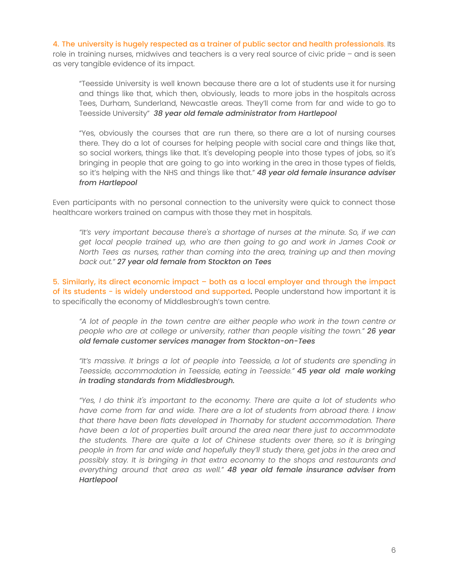4. The university is hugely respected as a trainer of public sector and health professionals. Its role in training nurses, midwives and teachers is a very real source of civic pride – and is seen as very tangible evidence of its impact.

"Teesside University is well known because there are a lot of students use it for nursing and things like that, which then, obviously, leads to more jobs in the hospitals across Tees, Durham, Sunderland, Newcastle areas. They'll come from far and wide to go to Teesside University" *38 year old female administrator from Hartlepool*

"Yes, obviously the courses that are run there, so there are a lot of nursing courses there. They do a lot of courses for helping people with social care and things like that, so social workers, things like that. It's developing people into those types of jobs, so it's bringing in people that are going to go into working in the area in those types of fields, so it's helping with the NHS and things like that." *48 year old female insurance adviser from Hartlepool*

Even participants with no personal connection to the university were quick to connect those healthcare workers trained on campus with those they met in hospitals.

*"It's very important because there's a shortage of nurses at the minute. So, if we can get local people trained up, who are then going to go and work in James Cook or North Tees as nurses, rather than coming into the area, training up and then moving back out." 27 year old female from Stockton on Tees*

5. Similarly, its direct economic impact – both as a local employer and through the impact of its students - is widely understood and supported. People understand how important it is to specifically the economy of Middlesbrough's town centre.

*"A lot of people in the town centre are either people who work in the town centre or people who are at college or university, rather than people visiting the town." 26 year old female customer services manager from Stockton-on-Tees*

*"It's massive. It brings a lot of people into Teesside, a lot of students are spending in Teesside, accommodation in Teesside, eating in Teesside." 45 year old male working in trading standards from Middlesbrough.*

*"Yes, I do think it's important to the economy. There are quite a lot of students who have come from far and wide. There are a lot of students from abroad there. I know that there have been flats developed in Thornaby for student accommodation. There have been a lot of properties built around the area near there just to accommodate the students. There are quite a lot of Chinese students over there, so it is bringing people in from far and wide and hopefully they'll study there, get jobs in the area and possibly stay. It is bringing in that extra economy to the shops and restaurants and everything around that area as well." 48 year old female insurance adviser from Hartlepool*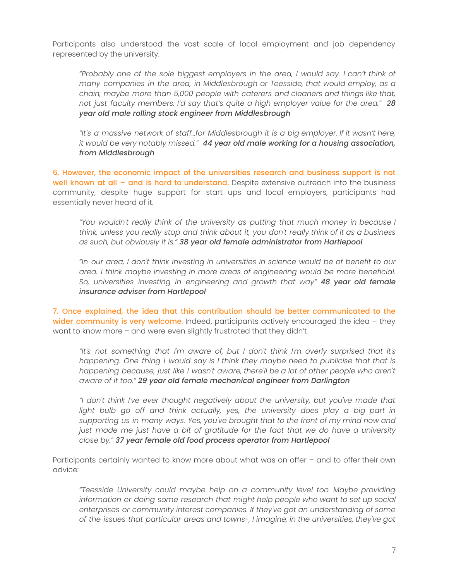Participants also understood the vast scale of local employment and job dependency represented by the university.

*"Probably one of the sole biggest employers in the area, I would say. I can't think of many companies in the area, in Middlesbrough or Teesside, that would employ, as a chain, maybe more than 5,000 people with caterers and cleaners and things like that, not just faculty members. I'd say that's quite a high employer value for the area." 28 year old male rolling stock engineer from Middlesbrough*

*"It's a massive network of staff…for Middlesbrough it is a big employer. If it wasn't here, it would be very notably missed." 44 year old male working for a housing association, from Middlesbrough*

6. However, the economic impact of the universities research and business support is not well known at all – and is hard to understand. Despite extensive outreach into the business community, despite huge support for start ups and local employers, participants had essentially never heard of it.

*"You wouldn't really think of the university as putting that much money in because I think, unless you really stop and think about it, you don't really think of it as a business as such, but obviously it is." 38 year old female administrator from Hartlepool*

*"In our area, I don't think investing in universities in science would be of benefit to our area. I think maybe investing in more areas of engineering would be more beneficial. So, universities investing in engineering and growth that way" 48 year old female insurance adviser from Hartlepool*

7. Once explained, the idea that this contribution should be better communicated to the wider community is very welcome. Indeed, participants actively encouraged the idea  $-$  they want to know more – and were even slightly frustrated that they didn't

*"It's not something that I'm aware of, but I don't think I'm overly surprised that it's happening. One thing I would say is I think they maybe need to publicise that that is happening because, just like I wasn't aware, there'll be a lot of other people who aren't aware of it too." 29 year old female mechanical engineer from Darlington*

*"I don't think I've ever thought negatively about the university, but you've made that light bulb go off and think actually, yes, the university does play a big part in supporting us in many ways. Yes, you've brought that to the front of my mind now and just made me just have a bit of gratitude for the fact that we do have a university close by." 37 year female old food process operator from Hartlepool*

Participants certainly wanted to know more about what was on offer – and to offer their own advice:

*"Teesside University could maybe help on a community level too. Maybe providing information or doing some research that might help people who want to set up social enterprises or community interest companies. If they've got an understanding of some of the issues that particular areas and towns-, I imagine, in the universities, they've got*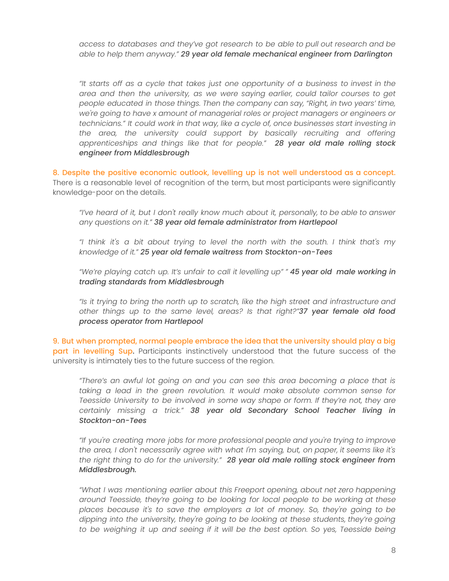*access to databases and they've got research to be able to pull out research and be able to help them anyway." 29 year old female mechanical engineer from Darlington*

*"It starts off as a cycle that takes just one opportunity of a business to invest in the area and then the university, as we were saying earlier, could tailor courses to get people educated in those things. Then the company can say, "Right, in two years' time, we're going to have x amount of managerial roles or project managers or engineers or technicians." It could work in that way, like a cycle of, once businesses start investing in the area, the university could support by basically recruiting and offering apprenticeships and things like that for people." 28 year old male rolling stock engineer from Middlesbrough*

8. Despite the positive economic outlook, levelling up is not well understood as a concept. There is a reasonable level of recognition of the term, but most participants were significantly knowledge-poor on the details.

*"I've heard of it, but I don't really know much about it, personally, to be able to answer any questions on it." 38 year old female administrator from Hartlepool*

*"I think it's a bit about trying to level the north with the south. I think that's my knowledge of it." 25 year old female waitress from Stockton-on-Tees*

*"We're playing catch up. It's unfair to call it levelling up" " 45 year old male working in trading standards from Middlesbrough*

*"Is it trying to bring the north up to scratch, like the high street and infrastructure and other things up to the same level, areas? Is that right?"37 year female old food process operator from Hartlepool*

9. But when prompted, normal people embrace the idea that the university should play a big part in levelling Sup. Participants instinctively understood that the future success of the university is intimately ties to the future success of the region.

*"There's an awful lot going on and you can see this area becoming a place that is taking a lead in the green revolution. It would make absolute common sense for Teesside University to be involved in some way shape or form. If they're not, they are certainly missing a trick." 38 year old Secondary School Teacher living in Stockton-on-Tees*

*"If you're creating more jobs for more professional people and you're trying to improve the area, I don't necessarily agree with what I'm saying, but, on paper, it seems like it's the right thing to do for the university." 28 year old male rolling stock engineer from Middlesbrough.*

*"What I was mentioning earlier about this Freeport opening, about net zero happening around Teesside, they're going to be looking for local people to be working at these places because it's to save the employers a lot of money. So, they're going to be dipping into the university, they're going to be looking at these students, they're going to be weighing it up and seeing if it will be the best option. So yes, Teesside being*